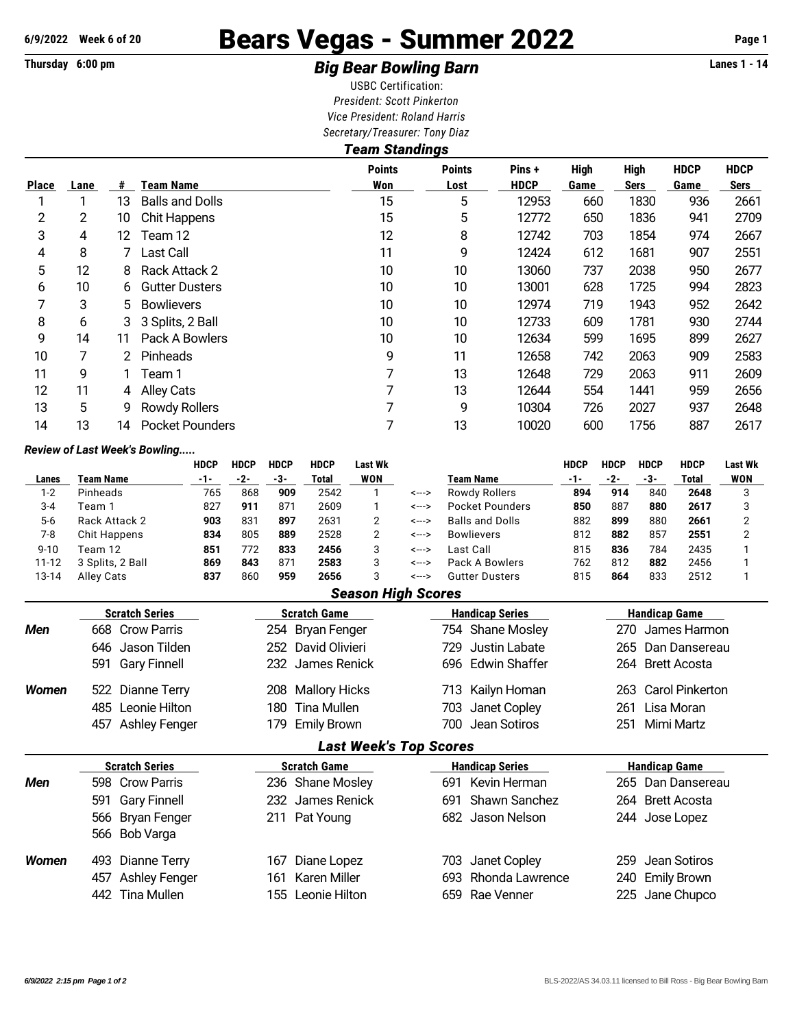# **6/9/2022 Week 6 of 20** Bears Vegas - Summer 2022 **Page 1**

## **Thursday 6:00 pm** *Big Bear Bowling Barn* **Lanes 1 - 14**

USBC Certification: *President: Scott Pinkerton Vice President: Roland Harris Secretary/Treasurer: Tony Diaz*

|              |      | <b>Team Standings</b> |                        |                      |                       |                       |                     |                            |                     |                     |  |  |  |  |  |
|--------------|------|-----------------------|------------------------|----------------------|-----------------------|-----------------------|---------------------|----------------------------|---------------------|---------------------|--|--|--|--|--|
| <b>Place</b> | Lane | #                     | Team Name              | <b>Points</b><br>Won | <b>Points</b><br>Lost | Pins +<br><b>HDCP</b> | <b>High</b><br>Game | <b>High</b><br><b>Sers</b> | <b>HDCP</b><br>Game | <b>HDCP</b><br>Sers |  |  |  |  |  |
|              |      | 13                    | <b>Balls and Dolls</b> | 15                   | 5                     | 12953                 | 660                 | 1830                       | 936                 | 2661                |  |  |  |  |  |
| 2            | 2    | 10                    | <b>Chit Happens</b>    | 15                   | 5                     | 12772                 | 650                 | 1836                       | 941                 | 2709                |  |  |  |  |  |
| 3            | 4    | 12                    | Team 12                | 12                   | 8                     | 12742                 | 703                 | 1854                       | 974                 | 2667                |  |  |  |  |  |
| 4            | 8    |                       | Last Call              | 11                   | 9                     | 12424                 | 612                 | 1681                       | 907                 | 2551                |  |  |  |  |  |
| 5            | 12   | 8                     | Rack Attack 2          | 10                   | 10                    | 13060                 | 737                 | 2038                       | 950                 | 2677                |  |  |  |  |  |
| 6            | 10   | 6                     | <b>Gutter Dusters</b>  | 10                   | 10                    | 13001                 | 628                 | 1725                       | 994                 | 2823                |  |  |  |  |  |
| 7            | 3    | 5.                    | <b>Bowlievers</b>      | 10                   | 10                    | 12974                 | 719                 | 1943                       | 952                 | 2642                |  |  |  |  |  |
| 8            | 6    |                       | 3 Splits, 2 Ball       | 10                   | 10                    | 12733                 | 609                 | 1781                       | 930                 | 2744                |  |  |  |  |  |
| 9            | 14   | 11                    | Pack A Bowlers         | 10                   | 10                    | 12634                 | 599                 | 1695                       | 899                 | 2627                |  |  |  |  |  |
| 10           | 7    |                       | Pinheads               | 9                    | 11                    | 12658                 | 742                 | 2063                       | 909                 | 2583                |  |  |  |  |  |
| 11           | 9    |                       | Team 1                 |                      | 13                    | 12648                 | 729                 | 2063                       | 911                 | 2609                |  |  |  |  |  |
| 12           | 11   | 4                     | <b>Alley Cats</b>      | 7                    | 13                    | 12644                 | 554                 | 1441                       | 959                 | 2656                |  |  |  |  |  |
| 13           | 5    | 9                     | <b>Rowdy Rollers</b>   | 7                    | 9                     | 10304                 | 726                 | 2027                       | 937                 | 2648                |  |  |  |  |  |
| 14           | 13   | 14                    | <b>Pocket Pounders</b> | 7                    | 13                    | 10020                 | 600                 | 1756                       | 887                 | 2617                |  |  |  |  |  |

### *Review of Last Week's Bowling.....*

|              |                                              | <b>HDCP</b> | <b>HDCP</b> | <b>HDCP</b>           | <b>HDCP</b>          | <b>Last Wk</b>            |                       |                        | <b>HDCP</b> | <b>HDCP</b> | <b>HDCP</b>          | <b>HDCP</b>            | Last Wk |  |
|--------------|----------------------------------------------|-------------|-------------|-----------------------|----------------------|---------------------------|-----------------------|------------------------|-------------|-------------|----------------------|------------------------|---------|--|
| Lanes        | Team Name                                    |             | -2-         | -3-                   | Total                | <b>WON</b>                |                       | Team Name              | $-1-$       | -2-         | -3-                  | Total                  | WON     |  |
| $1 - 2$      | Pinheads                                     | 765         | 868         | 909                   | 2542                 |                           | <--->                 | <b>Rowdy Rollers</b>   | 894         | 914         | 840                  | 2648                   | 3       |  |
| $3 - 4$      | Team 1                                       |             | 911         | 871                   | 2609                 |                           | <--->                 | Pocket Pounders        | 850         | 887         | 880                  | 2617                   | 3       |  |
| $5-6$        | Rack Attack 2                                |             | 831         | 897                   | 2631                 | 2                         | <--->                 | <b>Balls and Dolls</b> | 882         | 899         | 880                  | 2661                   | 2       |  |
| $7 - 8$      | Chit Happens                                 |             | 805         | 889                   | 2528                 | 2                         | <--->                 | <b>Bowlievers</b>      | 812         | 882         | 857                  | 2551                   | 2       |  |
| $9 - 10$     | Team 12                                      | 851         | 772         | 833                   | 2456                 | 3                         | <--->                 | Last Call              | 815         | 836         | 784                  | 2435                   |         |  |
| $11 - 12$    | 3 Splits, 2 Ball                             | 869         | 843         | 871                   | 2583                 | 3                         | <--->                 | Pack A Bowlers         | 762         | 812         | 882                  | 2456                   |         |  |
| 13-14        | Alley Cats                                   | 837         | 860         | 959                   | 2656                 | 3                         | <--->                 | <b>Gutter Dusters</b>  | 815         | 864         | 833                  | 2512                   |         |  |
|              |                                              |             |             |                       |                      | <b>Season High Scores</b> |                       |                        |             |             |                      |                        |         |  |
|              | <b>Scratch Series</b><br><b>Scratch Game</b> |             |             |                       |                      |                           |                       | <b>Handicap Series</b> |             |             | <b>Handicap Game</b> |                        |         |  |
| <b>Men</b>   | 668 Crow Parris                              |             |             |                       | 254 Bryan Fenger     |                           |                       | 754 Shane Mosley       |             | 270         |                      | James Harmon           |         |  |
|              | 646 Jason Tilden                             |             |             | David Olivieri<br>252 |                      |                           | Justin Labate<br>729. |                        |             |             | 265 Dan Dansereau    |                        |         |  |
|              | 591 Gary Finnell                             |             |             | 232                   | James Renick         |                           |                       | Edwin Shaffer<br>696   |             | 264         |                      | <b>Brett Acosta</b>    |         |  |
| <b>Women</b> | 522<br>Dianne Terry                          |             |             | 208                   | <b>Mallory Hicks</b> |                           |                       | Kailyn Homan<br>713    |             | 263         |                      | <b>Carol Pinkerton</b> |         |  |

### *Last Week's Top Scores*

485 Leonie Hilton 180 Tina Mullen 703 Janet Copley 261 Lisa Moran 457 Ashley Fenger 179 Emily Brown 700 Jean Sotiros 251 Mimi Martz

|                                   | <b>Scratch Series</b> | <b>Scratch Game</b> | <b>Handicap Series</b> | <b>Handicap Game</b> |
|-----------------------------------|-----------------------|---------------------|------------------------|----------------------|
| Men                               | 598 Crow Parris       | 236 Shane Mosley    | 691 Kevin Herman       | 265 Dan Dansereau    |
|                                   | 591 Gary Finnell      | 232 James Renick    | 691 Shawn Sanchez      | 264 Brett Acosta     |
| 566 Bryan Fenger<br>566 Bob Varga |                       | 211 Pat Young       | 682 Jason Nelson       | 244 Jose Lopez       |
|                                   |                       |                     |                        |                      |
| <b>Women</b>                      | 493 Dianne Terry      | 167 Diane Lopez     | 703 Janet Copley       | 259 Jean Sotiros     |
|                                   | 457 Ashley Fenger     | 161 Karen Miller    | 693 Rhonda Lawrence    | 240 Emily Brown      |
|                                   | 442 Tina Mullen       | 155 Leonie Hilton   | 659 Rae Venner         | 225 Jane Chupco      |